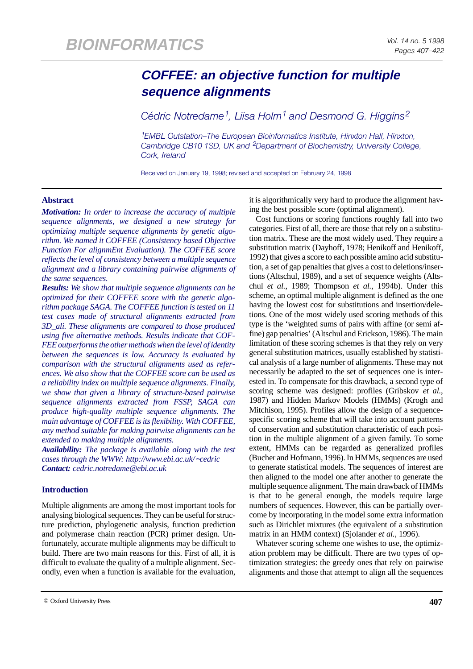# **COFFEE: an objective function for multiple sequence alignments**

Cédric Notredame<sup>1</sup>, Liisa Holm<sup>1</sup> and Desmond G. Higgins<sup>2</sup>

<sup>1</sup>EMBL Outstation-The European Bioinformatics Institute, Hinxton Hall, Hinxton, Cambridge CB10 1SD, UK and <sup>2</sup>Department of Biochemistry, University College, Cork, Ireland

Received on January 19, 1998; revised and accepted on February 24, 1998

## **Abstract**

*Motivation: In order to increase the accuracy of multiple sequence alignments, we designed a new strategy for optimizing multiple sequence alignments by genetic algorithm. We named it COFFEE (Consistency based Objective Function For alignmEnt Evaluation). The COFFEE score reflects the level of consistency between a multiple sequence alignment and a library containing pairwise alignments of the same sequences.*

*Results: We show that multiple sequence alignments can be optimized for their COFFEE score with the genetic algorithm package SAGA. The COFFEE function is tested on 11 test cases made of structural alignments extracted from 3D\_ali. These alignments are compared to those produced using five alternative methods. Results indicate that COF-FEE outperforms the other methods when the level of identity between the sequences is low. Accuracy is evaluated by comparison with the structural alignments used as references. We also show that the COFFEE score can be used as a reliability index on multiple sequence alignments. Finally, we show that given a library of structure-based pairwise sequence alignments extracted from FSSP, SAGA can produce high-quality multiple sequence alignments. The main advantage of COFFEE is its flexibility. With COFFEE, any method suitable for making pairwise alignments can be extended to making multiple alignments.*

*Availability: The package is available along with the test cases through the WWW: http://www.ebi.ac.uk/*∼*cedric Contact: cedric.notredame@ebi.ac.uk*

# **Introduction**

Multiple alignments are among the most important tools for analysing biological sequences. They can be useful for structure prediction, phylogenetic analysis, function prediction and polymerase chain reaction (PCR) primer design. Unfortunately, accurate multiple alignments may be difficult to build. There are two main reasons for this. First of all, it is difficult to evaluate the quality of a multiple alignment. Secondly, even when a function is available for the evaluation, it is algorithmically very hard to produce the alignment having the best possible score (optimal alignment).

Cost functions or scoring functions roughly fall into two categories. First of all, there are those that rely on a substitution matrix. These are the most widely used. They require a substitution matrix (Dayhoff, 1978; Henikoff and Henikoff, 1992) that gives a score to each possible amino acid substitution, a set of gap penalties that gives a cost to deletions/insertions (Altschul, 1989), and a set of sequence weights (Altschul *et al.*, 1989; Thompson *et al.*, 1994b). Under this scheme, an optimal multiple alignment is defined as the one having the lowest cost for substitutions and insertion/deletions. One of the most widely used scoring methods of this type is the 'weighted sums of pairs with affine (or semi affine) gap penalties' (Altschul and Erickson, 1986). The main limitation of these scoring schemes is that they rely on very general substitution matrices, usually established by statistical analysis of a large number of alignments. These may not necessarily be adapted to the set of sequences one is interested in. To compensate for this drawback, a second type of scoring scheme was designed: profiles (Gribskov *et al.*, 1987) and Hidden Markov Models (HMMs) (Krogh and Mitchison, 1995). Profiles allow the design of a sequencespecific scoring scheme that will take into account patterns of conservation and substitution characteristic of each position in the multiple alignment of a given family. To some extent, HMMs can be regarded as generalized profiles (Bucher and Hofmann, 1996). In HMMs, sequences are used to generate statistical models. The sequences of interest are then aligned to the model one after another to generate the multiple sequence alignment. The main drawback of HMMs is that to be general enough, the models require large numbers of sequences. However, this can be partially overcome by incorporating in the model some extra information such as Dirichlet mixtures (the equivalent of a substitution matrix in an HMM context) (Sjolander *et al.*, 1996).

Whatever scoring scheme one wishes to use, the optimization problem may be difficult. There are two types of optimization strategies: the greedy ones that rely on pairwise alignments and those that attempt to align all the sequences

Oxford University Press **407**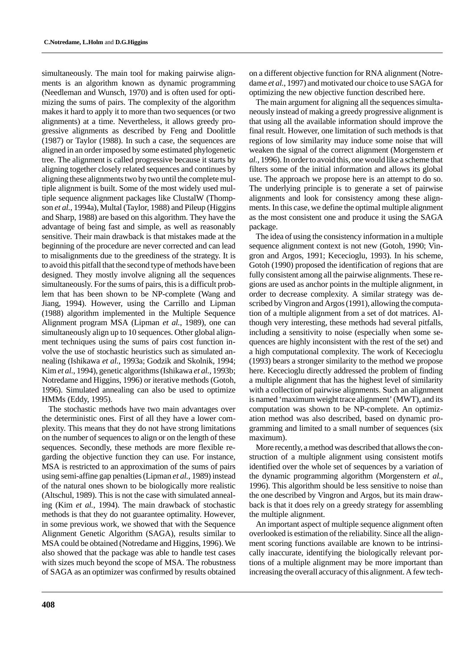simultaneously. The main tool for making pairwise alignments is an algorithm known as dynamic programming (Needleman and Wunsch, 1970) and is often used for optimizing the sums of pairs. The complexity of the algorithm makes it hard to apply it to more than two sequences (or two alignments) at a time. Nevertheless, it allows greedy progressive alignments as described by Feng and Doolittle (1987) or Taylor (1988). In such a case, the sequences are aligned in an order imposed by some estimated phylogenetic tree. The alignment is called progressive because it starts by aligning together closely related sequences and continues by aligning these alignments two by two until the complete multiple alignment is built. Some of the most widely used multiple sequence alignment packages like ClustalW (Thompson *et al.*, 1994a), Multal (Taylor, 1988) and Pileup (Higgins and Sharp, 1988) are based on this algorithm. They have the advantage of being fast and simple, as well as reasonably sensitive. Their main drawback is that mistakes made at the beginning of the procedure are never corrected and can lead to misalignments due to the greediness of the strategy. It is to avoid this pitfall that the second type of methods have been designed. They mostly involve aligning all the sequences simultaneously. For the sums of pairs, this is a difficult problem that has been shown to be NP-complete (Wang and Jiang, 1994). However, using the Carrillo and Lipman (1988) algorithm implemented in the Multiple Sequence Alignment program MSA (Lipman *et al.*, 1989), one can simultaneously align up to 10 sequences. Other global alignment techniques using the sums of pairs cost function involve the use of stochastic heuristics such as simulated annealing (Ishikawa *et al.*, 1993a; Godzik and Skolnik, 1994; Kim *et al.*, 1994), genetic algorithms (Ishikawa *et al.*, 1993b; Notredame and Higgins, 1996) or iterative methods (Gotoh, 1996). Simulated annealing can also be used to optimize HMMs (Eddy, 1995).

The stochastic methods have two main advantages over the deterministic ones. First of all they have a lower complexity. This means that they do not have strong limitations on the number of sequences to align or on the length of these sequences. Secondly, these methods are more flexible regarding the objective function they can use. For instance, MSA is restricted to an approximation of the sums of pairs using semi-affine gap penalties (Lipman *et al.*, 1989) instead of the natural ones shown to be biologically more realistic (Altschul, 1989). This is not the case with simulated annealing (Kim *et al.*, 1994). The main drawback of stochastic methods is that they do not guarantee optimality. However, in some previous work, we showed that with the Sequence Alignment Genetic Algorithm (SAGA), results similar to MSA could be obtained (Notredame and Higgins, 1996). We also showed that the package was able to handle test cases with sizes much beyond the scope of MSA. The robustness of SAGA as an optimizer was confirmed by results obtained

on a different objective function for RNA alignment (Notredame *et al.*, 1997) and motivated our choice to use SAGA for optimizing the new objective function described here.

The main argument for aligning all the sequences simultaneously instead of making a greedy progressive alignment is that using all the available information should improve the final result. However, one limitation of such methods is that regions of low similarity may induce some noise that will weaken the signal of the correct alignment (Morgenstern *et al.*, 1996). In order to avoid this, one would like a scheme that filters some of the initial information and allows its global use. The approach we propose here is an attempt to do so. The underlying principle is to generate a set of pairwise alignments and look for consistency among these alignments. In this case, we define the optimal multiple alignment as the most consistent one and produce it using the SAGA package.

The idea of using the consistency information in a multiple sequence alignment context is not new (Gotoh, 1990; Vingron and Argos, 1991; Kececioglu, 1993). In his scheme, Gotoh (1990) proposed the identification of regions that are fully consistent among all the pairwise alignments. These regions are used as anchor points in the multiple alignment, in order to decrease complexity. A similar strategy was described by Vingron and Argos (1991), allowing the computation of a multiple alignment from a set of dot matrices. Although very interesting, these methods had several pitfalls, including a sensitivity to noise (especially when some sequences are highly inconsistent with the rest of the set) and a high computational complexity. The work of Kececioglu (1993) bears a stronger similarity to the method we propose here. Kececioglu directly addressed the problem of finding a multiple alignment that has the highest level of similarity with a collection of pairwise alignments. Such an alignment is named 'maximum weight trace alignment' (MWT), and its computation was shown to be NP-complete. An optimization method was also described, based on dynamic programming and limited to a small number of sequences (six maximum).

More recently, a method was described that allows the construction of a multiple alignment using consistent motifs identified over the whole set of sequences by a variation of the dynamic programming algorithm (Morgenstern *et al.*, 1996). This algorithm should be less sensitive to noise than the one described by Vingron and Argos, but its main drawback is that it does rely on a greedy strategy for assembling the multiple alignment.

An important aspect of multiple sequence alignment often overlooked is estimation of the reliability. Since all the alignment scoring functions available are known to be intrinsically inaccurate, identifying the biologically relevant portions of a multiple alignment may be more important than increasing the overall accuracy of this alignment. A few tech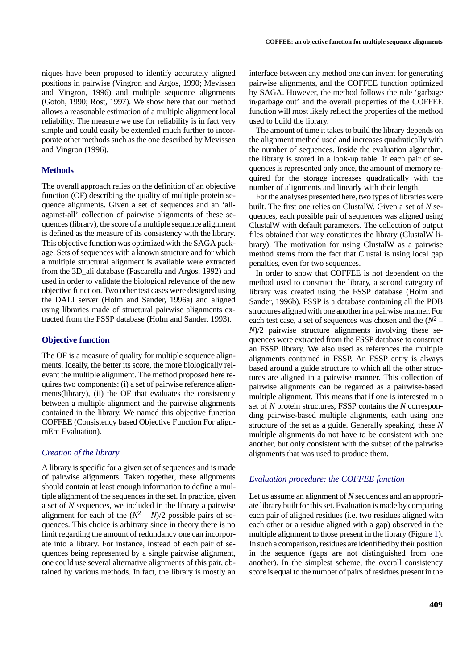niques have been proposed to identify accurately aligned positions in pairwise (Vingron and Argos, 1990; Mevissen and Vingron, 1996) and multiple sequence alignments (Gotoh, 1990; Rost, 1997). We show here that our method allows a reasonable estimation of a multiple alignment local reliability. The measure we use for reliability is in fact very simple and could easily be extended much further to incorporate other methods such as the one described by Mevissen and Vingron (1996).

## **Methods**

The overall approach relies on the definition of an objective function (OF) describing the quality of multiple protein sequence alignments. Given a set of sequences and an 'allagainst-all' collection of pairwise alignments of these sequences (library), the score of a multiple sequence alignment is defined as the measure of its consistency with the library. This objective function was optimized with the SAGA package. Sets of sequences with a known structure and for which a multiple structural alignment is available were extracted from the 3D\_ali database (Pascarella and Argos, 1992) and used in order to validate the biological relevance of the new objective function. Two other test cases were designed using the DALI server (Holm and Sander, 1996a) and aligned using libraries made of structural pairwise alignments extracted from the FSSP database (Holm and Sander, 1993).

#### **Objective function**

The OF is a measure of quality for multiple sequence alignments. Ideally, the better its score, the more biologically relevant the multiple alignment. The method proposed here requires two components: (i) a set of pairwise reference alignments(library), (ii) the OF that evaluates the consistency between a multiple alignment and the pairwise alignments contained in the library. We named this objective function COFFEE (Consistency based Objective Function For alignmEnt Evaluation).

#### *Creation of the library*

A library is specific for a given set of sequences and is made of pairwise alignments. Taken together, these alignments should contain at least enough information to define a multiple alignment of the sequences in the set. In practice, given a set of *N* sequences, we included in the library a pairwise alignment for each of the  $(N^2 - N)/2$  possible pairs of sequences. This choice is arbitrary since in theory there is no limit regarding the amount of redundancy one can incorporate into a library. For instance, instead of each pair of sequences being represented by a single pairwise alignment, one could use several alternative alignments of this pair, obtained by various methods. In fact, the library is mostly an interface between any method one can invent for generating pairwise alignments, and the COFFEE function optimized by SAGA. However, the method follows the rule 'garbage in/garbage out' and the overall properties of the COFFEE function will most likely reflect the properties of the method used to build the library.

The amount of time it takes to build the library depends on the alignment method used and increases quadratically with the number of sequences. Inside the evaluation algorithm, the library is stored in a look-up table. If each pair of sequences is represented only once, the amount of memory required for the storage increases quadratically with the number of alignments and linearly with their length.

For the analyses presented here, two types of libraries were built. The first one relies on ClustalW. Given a set of *N* sequences, each possible pair of sequences was aligned using ClustalW with default parameters. The collection of output files obtained that way constitutes the library (ClustalW library). The motivation for using ClustalW as a pairwise method stems from the fact that Clustal is using local gap penalties, even for two sequences.

In order to show that COFFEE is not dependent on the method used to construct the library, a second category of library was created using the FSSP database (Holm and Sander, 1996b). FSSP is a database containing all the PDB structures aligned with one another in a pairwise manner. For each test case, a set of sequences was chosen and the  $(N^2 -$ *N*)/2 pairwise structure alignments involving these sequences were extracted from the FSSP database to construct an FSSP library. We also used as references the multiple alignments contained in FSSP. An FSSP entry is always based around a guide structure to which all the other structures are aligned in a pairwise manner. This collection of pairwise alignments can be regarded as a pairwise-based multiple alignment. This means that if one is interested in a set of *N* protein structures, FSSP contains the *N* corresponding pairwise-based multiple alignments, each using one structure of the set as a guide. Generally speaking, these *N* multiple alignments do not have to be consistent with one another, but only consistent with the subset of the pairwise alignments that was used to produce them.

#### *Evaluation procedure: the COFFEE function*

Let us assume an alignment of *N* sequences and an appropriate library built for this set. Evaluation is made by comparing each pair of aligned residues (i.e. two residues aligned with each other or a residue aligned with a gap) observed in the multiple alignment to those present in the library (Figure 1). In such a comparison, residues are identified by their position in the sequence (gaps are not distinguished from one another). In the simplest scheme, the overall consistency score is equal to the number of pairs of residues present in the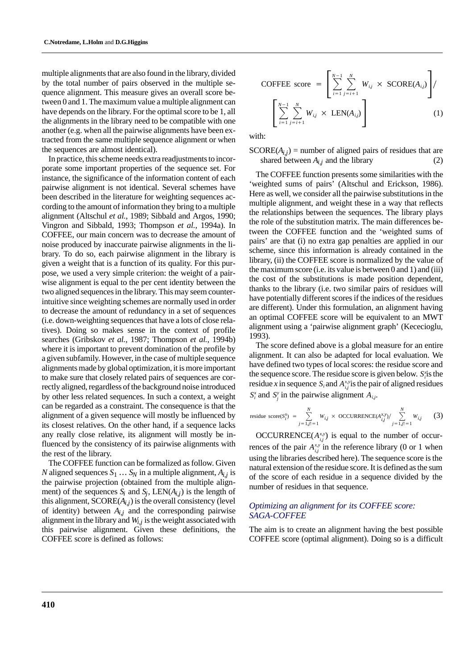multiple alignments that are also found in the library, divided by the total number of pairs observed in the multiple sequence alignment. This measure gives an overall score between 0 and 1. The maximum value a multiple alignment can have depends on the library. For the optimal score to be 1, all the alignments in the library need to be compatible with one another (e.g. when all the pairwise alignments have been extracted from the same multiple sequence alignment or when the sequences are almost identical).

In practice, this scheme needs extra readjustments to incorporate some important properties of the sequence set. For instance, the significance of the information content of each pairwise alignment is not identical. Several schemes have been described in the literature for weighting sequences according to the amount of information they bring to a multiple alignment (Altschul *et al.*, 1989; Sibbald and Argos, 1990; Vingron and Sibbald, 1993; Thompson *et al.*, 1994a). In COFFEE, our main concern was to decrease the amount of noise produced by inaccurate pairwise alignments in the library. To do so, each pairwise alignment in the library is given a weight that is a function of its quality. For this purpose, we used a very simple criterion: the weight of a pairwise alignment is equal to the per cent identity between the two aligned sequences in the library. This may seem counterintuitive since weighting schemes are normally used in order to decrease the amount of redundancy in a set of sequences (i.e. down-weighting sequences that have a lots of close relatives). Doing so makes sense in the context of profile searches (Gribskov *et al.*, 1987; Thompson *et al.*, 1994b) where it is important to prevent domination of the profile by a given subfamily. However, in the case of multiple sequence alignments made by global optimization, it is more important to make sure that closely related pairs of sequences are correctly aligned, regardless of the background noise introduced by other less related sequences. In such a context, a weight can be regarded as a constraint. The consequence is that the alignment of a given sequence will mostly be influenced by its closest relatives. On the other hand, if a sequence lacks any really close relative, its alignment will mostly be influenced by the consistency of its pairwise alignments with the rest of the library.

The COFFEE function can be formalized as follow. Given *N* aligned sequences  $S_1$  ...  $S_N$  in a multiple alignment,  $A_{i,j}$  is the pairwise projection (obtained from the multiple alignment) of the sequences  $S_i$  and  $S_j$ , LEN( $A_{i,j}$ ) is the length of this alignment,  $SCORE(A<sub>i,j</sub>)$  is the overall consistency (level of identity) between  $A_{i,j}$  and the corresponding pairwise alignment in the library and  $W_{i,j}$  is the weight associated with this pairwise alignment. Given these definitions, the COFFEE score is defined as follows:

$$
\text{COFFEE score} = \left[ \sum_{i=1}^{N-1} \sum_{j=i+1}^{N} W_{i,j} \times \text{SCORE}(A_{i,j}) \right] / \left[ \sum_{i=1}^{N-1} \sum_{j=i+1}^{N} W_{i,j} \times \text{LEN}(A_{i,j}) \right] \tag{1}
$$

with:

 $SCORE(A_{i,j})$  = number of aligned pairs of residues that are shared between  $A_{i,j}$  and the library (2)

The COFFEE function presents some similarities with the 'weighted sums of pairs' (Altschul and Erickson, 1986). Here as well, we consider all the pairwise substitutions in the multiple alignment, and weight these in a way that reflects the relationships between the sequences. The library plays the role of the substitution matrix. The main differences between the COFFEE function and the 'weighted sums of pairs' are that (i) no extra gap penalties are applied in our scheme, since this information is already contained in the library, (ii) the COFFEE score is normalized by the value of the maximum score (i.e. its value is between 0 and 1) and (iii) the cost of the substitutions is made position dependent, thanks to the library (i.e. two similar pairs of residues will have potentially different scores if the indices of the residues are different). Under this formulation, an alignment having an optimal COFFEE score will be equivalent to an MWT alignment using a 'pairwise alignment graph' (Kececioglu, 1993).

The score defined above is a global measure for an entire alignment. It can also be adapted for local evaluation. We have defined two types of local scores: the residue score and the sequence score. The residue score is given below.  $S_i^x$  is the residue *x* in sequence  $S_i$  and  $A_{ij}^{x,y}$  is the pair of aligned residues  $S_i^x$  and  $S_j^y$  in the pairwise alignment  $A_{ij}$ .

residue score
$$
(S_i^x)
$$
 =  $\sum_{j=1,j!=1}^N W_{i,j} \times \text{OCCURRENCE}(A_{i,j}^{x,y}) / \sum_{j=1,j!=1}^N W_{i,j}$  (3)

OCCURRENCE( $A_{i,j}^{x,y}$ ) is equal to the number of occurrences of the pair  $A_{i,j}^{x,y}$  in the reference library (0 or 1 when using the libraries described here). The sequence score is the natural extension of the residue score. It is defined as the sum of the score of each residue in a sequence divided by the number of residues in that sequence.

## *Optimizing an alignment for its COFFEE score: SAGA-COFFEE*

The aim is to create an alignment having the best possible COFFEE score (optimal alignment). Doing so is a difficult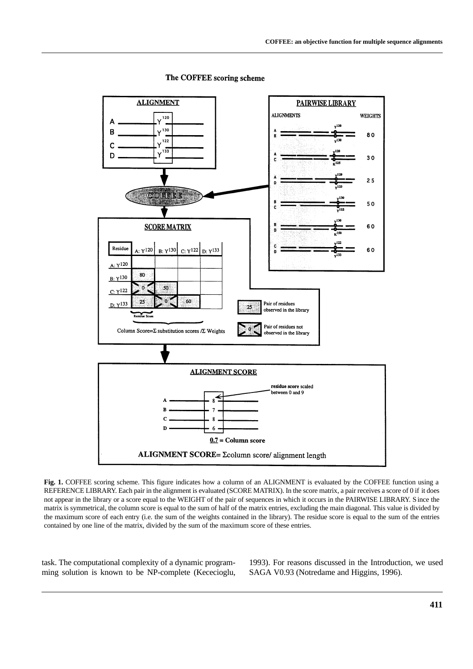

#### The COFFEE scoring scheme

**Fig. 1.** COFFEE scoring scheme. This figure indicates how a column of an ALIGNMENT is evaluated by the COFFEE function using a REFERENCE LIBRARY. Each pair in the alignment is evaluated (SCORE MATRIX). In the score matrix, a pair receives a score of 0 if it does not appear in the library or a score equal to the WEIGHT of the pair of sequences in which it occurs in the PAIRWISE LIBRARY. Since the matrix is symmetrical, the column score is equal to the sum of half of the matrix entries, excluding the main diagonal. This value is divided by the maximum score of each entry (i.e. the sum of the weights contained in the library). The residue score is equal to the sum of the entries contained by one line of the matrix, divided by the sum of the maximum score of these entries.

task. The computational complexity of a dynamic programming solution is known to be NP-complete (Kececioglu,

1993). For reasons discussed in the Introduction, we used SAGA V0.93 (Notredame and Higgins, 1996).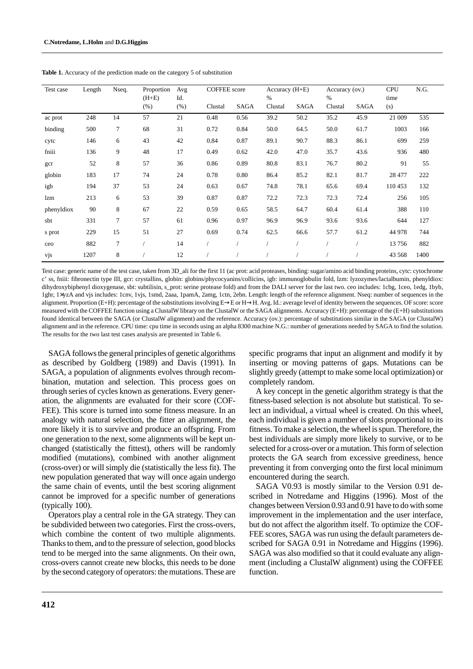| Test case  | Length | Nseq. | Proportion      | Avg         | <b>COFFEE</b> score |      | Accuracy $(H+E)$ |      | Accuracy (ov.)  |      | <b>CPU</b>  | N.G. |
|------------|--------|-------|-----------------|-------------|---------------------|------|------------------|------|-----------------|------|-------------|------|
|            |        |       | $(H+E)$<br>(% ) | Id.<br>(% ) | Clustal             | SAGA | $\%$<br>Clustal  | SAGA | $\%$<br>Clustal | SAGA | time<br>(s) |      |
| ac prot    | 248    | 14    | 57              | 21          | 0.48                | 0.56 | 39.2             | 50.2 | 35.2            | 45.9 | 21 009      | 535  |
| binding    | 500    | 7     | 68              | 31          | 0.72                | 0.84 | 50.0             | 64.5 | 50.0            | 61.7 | 1003        | 166  |
| cytc       | 146    | 6     | 43              | 42          | 0.84                | 0.87 | 89.1             | 90.7 | 88.3            | 86.1 | 699         | 259  |
| fniii      | 136    | 9     | 48              | 17          | 0.49                | 0.62 | 42.0             | 47.0 | 35.7            | 43.6 | 936         | 480  |
| gcr        | 52     | 8     | 57              | 36          | 0.86                | 0.89 | 80.8             | 83.1 | 76.7            | 80.2 | 91          | 55   |
| globin     | 183    | 17    | 74              | 24          | 0.78                | 0.80 | 86.4             | 85.2 | 82.1            | 81.7 | 28 477      | 222  |
| igb        | 194    | 37    | 53              | 24          | 0.63                | 0.67 | 74.8             | 78.1 | 65.6            | 69.4 | 110 453     | 132  |
| lzm        | 213    | 6     | 53              | 39          | 0.87                | 0.87 | 72.2             | 72.3 | 72.3            | 72.4 | 256         | 105  |
| phenyldiox | 90     | 8     | 67              | 22          | 0.59                | 0.65 | 58.5             | 64.7 | 60.4            | 61.4 | 388         | 110  |
| sbt        | 331    | 7     | 57              | 61          | 0.96                | 0.97 | 96.9             | 96.9 | 93.6            | 93.6 | 644         | 127  |
| s prot     | 229    | 15    | 51              | 27          | 0.69                | 0.74 | 62.5             | 66.6 | 57.7            | 61.2 | 44 978      | 744  |
| ceo        | 882    | 7     |                 | 14          |                     |      |                  |      |                 |      | 13756       | 882  |
| vjs        | 1207   | 8     |                 | 12          |                     |      |                  |      |                 |      | 43 5 68     | 1400 |

Table 1. Accuracy of the prediction made on the category 5 of substitution

Test case: generic name of the test case, taken from 3D\_ali for the first 11 (ac prot: acid proteases, binding: sugar/amino acid binding proteins, cytc: cytochrome c' ss, fniii: fibronectin type III, gcr: crystallins, globin: globins/phycocyanins/collicins, igb: immunoglobulin fold, lzm: lyzozymes/lactalbumin, phenyldiox: dihydroxybiphenyl dioxygenase, sbt: subtilisin, s\_prot: serine protease fold) and from the DALI server for the last two. ceo includes: 1cbg, 1ceo, 1edg, 1byb, 1ghr, 1×yzA and vjs includes: 1cnv, 1vjs, 1smd, 2aaa, 1pamA, 2amg, 1ctn, 2ebn. Length: length of the reference alignment. Nseq: number of sequences in the alignment. Proportion (E+H): percentage of the substitutions involving E→E or H→H. Avg. Id.: average level of identity between the sequences. OF score: score measured with the COFFEE function using a ClustalW library on the ClustalW or the SAGA alignments. Accuracy (E+H): percentage of the (E+H) substitutions found identical between the SAGA (or ClustalW alignment) and the reference. Accuracy (ov.): percentage of substitutions similar in the SAGA (or ClustalW) alignment and in the reference. CPU time: cpu time in seconds using an alpha 8300 machine N.G.: number of generations needed by SAGA to find the solution. The results for the two last test cases analysis are presented in Table 6.

SAGA follows the general principles of genetic algorithms as described by Goldberg (1989) and Davis (1991). In SAGA, a population of alignments evolves through recombination, mutation and selection. This process goes on through series of cycles known as generations. Every generation, the alignments are evaluated for their score (COF-FEE). This score is turned into some fitness measure. In an analogy with natural selection, the fitter an alignment, the more likely it is to survive and produce an offspring. From one generation to the next, some alignments will be kept unchanged (statistically the fittest), others will be randomly modified (mutations), combined with another alignment (cross-over) or will simply die (statistically the less fit). The new population generated that way will once again undergo the same chain of events, until the best scoring alignment cannot be improved for a specific number of generations (typically 100).

Operators play a central role in the GA strategy. They can be subdivided between two categories. First the cross-overs, which combine the content of two multiple alignments. Thanks to them, and to the pressure of selection, good blocks tend to be merged into the same alignments. On their own, cross-overs cannot create new blocks, this needs to be done by the second category of operators: the mutations. These are

specific programs that input an alignment and modify it by inserting or moving patterns of gaps. Mutations can be slightly greedy (attempt to make some local optimization) or completely random.

A key concept in the genetic algorithm strategy is that the fitness-based selection is not absolute but statistical. To select an individual, a virtual wheel is created. On this wheel, each individual is given a number of slots proportional to its fitness. To make a selection, the wheel is spun. Therefore, the best individuals are simply more likely to survive, or to be selected for a cross-over or a mutation. This form of selection protects the GA search from excessive greediness, hence preventing it from converging onto the first local minimum encountered during the search.

SAGA V0.93 is mostly similar to the Version 0.91 described in Notredame and Higgins (1996). Most of the changes between Version 0.93 and 0.91 have to do with some improvement in the implementation and the user interface, but do not affect the algorithm itself. To optimize the COF-FEE scores, SAGA was run using the default parameters described for SAGA 0.91 in Notredame and Higgins (1996). SAGA was also modified so that it could evaluate any alignment (including a ClustalW alignment) using the COFFEE function.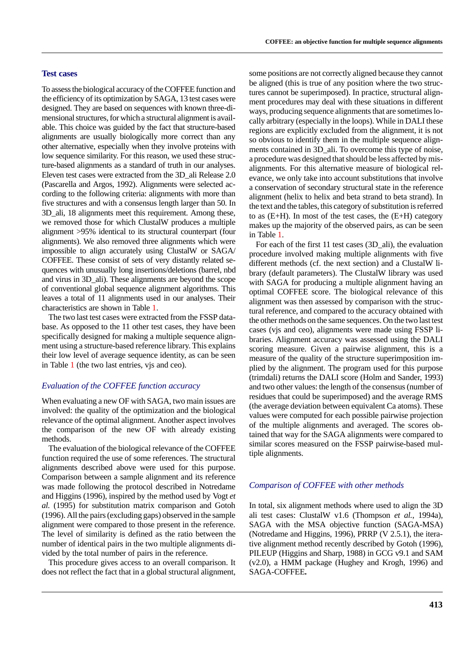#### **Test cases**

To assess the biological accuracy of the COFFEE function and the efficiency of its optimization by SAGA, 13 test cases were designed. They are based on sequences with known three-dimensional structures, for which a structural alignment is available. This choice was guided by the fact that structure-based alignments are usually biologically more correct than any other alternative, especially when they involve proteins with low sequence similarity. For this reason, we used these structure-based alignments as a standard of truth in our analyses. Eleven test cases were extracted from the 3D\_ali Release 2.0 (Pascarella and Argos, 1992). Alignments were selected according to the following criteria: alignments with more than five structures and with a consensus length larger than 50. In 3D\_ali, 18 alignments meet this requirement. Among these, we removed those for which ClustalW produces a multiple alignment >95% identical to its structural counterpart (four alignments). We also removed three alignments which were impossible to align accurately using ClustalW or SAGA/ COFFEE. These consist of sets of very distantly related sequences with unusually long insertions/deletions (barrel, nbd and virus in 3D\_ali). These alignments are beyond the scope of conventional global sequence alignment algorithms. This leaves a total of 11 alignments used in our analyses. Their characteristics are shown in Table 1.

The two last test cases were extracted from the FSSP database. As opposed to the 11 other test cases, they have been specifically designed for making a multiple sequence alignment using a structure-based reference library. This explains their low level of average sequence identity, as can be seen in Table 1 (the two last entries, vjs and ceo).

## *Evaluation of the COFFEE function accuracy*

When evaluating a new OF with SAGA, two main issues are involved: the quality of the optimization and the biological relevance of the optimal alignment. Another aspect involves the comparison of the new OF with already existing methods.

The evaluation of the biological relevance of the COFFEE function required the use of some references. The structural alignments described above were used for this purpose. Comparison between a sample alignment and its reference was made following the protocol described in Notredame and Higgins (1996), inspired by the method used by Vogt *et al.* (1995) for substitution matrix comparison and Gotoh (1996). All the pairs (excluding gaps) observed in the sample alignment were compared to those present in the reference. The level of similarity is defined as the ratio between the number of identical pairs in the two multiple alignments divided by the total number of pairs in the reference.

This procedure gives access to an overall comparison. It does not reflect the fact that in a global structural alignment, some positions are not correctly aligned because they cannot be aligned (this is true of any position where the two structures cannot be superimposed). In practice, structural alignment procedures may deal with these situations in different ways, producing sequence alignments that are sometimes locally arbitrary (especially in the loops). While in DALI these regions are explicitly excluded from the alignment, it is not so obvious to identify them in the multiple sequence alignments contained in 3D ali. To overcome this type of noise, a procedure was designed that should be less affected by misalignments. For this alternative measure of biological relevance, we only take into account substitutions that involve a conservation of secondary structural state in the reference alignment (helix to helix and beta strand to beta strand). In the text and the tables, this category of substitution is referred to as (E+H). In most of the test cases, the (E+H) category makes up the majority of the observed pairs, as can be seen in Table 1.

For each of the first 11 test cases (3D\_ali), the evaluation procedure involved making multiple alignments with five different methods (cf. the next section) and a ClustalW library (default parameters). The ClustalW library was used with SAGA for producing a multiple alignment having an optimal COFFEE score. The biological relevance of this alignment was then assessed by comparison with the structural reference, and compared to the accuracy obtained with the other methods on the same sequences. On the two last test cases (vjs and ceo), alignments were made using FSSP libraries. Alignment accuracy was assessed using the DALI scoring measure. Given a pairwise alignment, this is a measure of the quality of the structure superimposition implied by the alignment. The program used for this purpose (trimdali) returns the DALI score (Holm and Sander, 1993) and two other values: the length of the consensus (number of residues that could be superimposed) and the average RMS (the average deviation between equivalent Ca atoms). These values were computed for each possible pairwise projection of the multiple alignments and averaged. The scores obtained that way for the SAGA alignments were compared to similar scores measured on the FSSP pairwise-based multiple alignments.

#### *Comparison of COFFEE with other methods*

In total, six alignment methods where used to align the 3D ali test cases: ClustalW v1.6 (Thompson *et al.*, 1994a), SAGA with the MSA objective function (SAGA-MSA) (Notredame and Higgins, 1996), PRRP (V 2.5.1), the iterative alignment method recently described by Gotoh (1996), PILEUP (Higgins and Sharp, 1988) in GCG v9.1 and SAM (v2.0), a HMM package (Hughey and Krogh, 1996) and SAGA-COFFEE**.**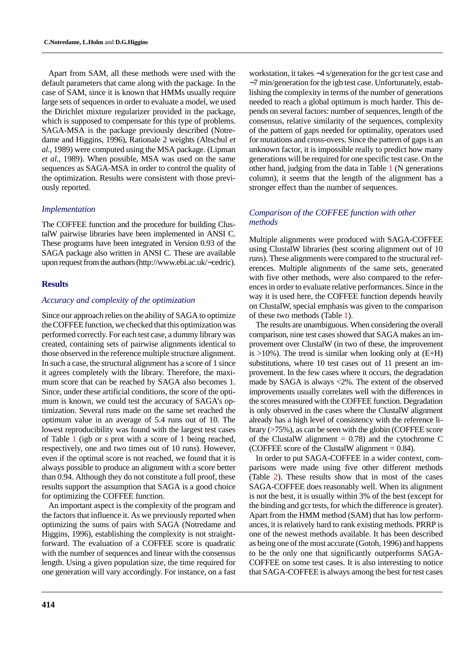Apart from SAM, all these methods were used with the default parameters that came along with the package. In the case of SAM, since it is known that HMMs usually require large sets of sequences in order to evaluate a model, we used the Dirichlet mixture regularizer provided in the package, which is supposed to compensate for this type of problems. SAGA-MSA is the package previously described (Notredame and Higgins, 1996), Rationale 2 weights (Altschul *et al.*, 1989) were computed using the MSA package. (Lipman *et al.*, 1989). When possible, MSA was used on the same sequences as SAGA-MSA in order to control the quality of the optimization. Results were consistent with those previously reported.

#### *Implementation*

The COFFEE function and the procedure for building ClustalW pairwise libraries have been implemented in ANSI C. These programs have been integrated in Version 0.93 of the SAGA package also written in ANSI C. These are available upon request from the authors (http://www.ebi.ac.uk/∼cedric).

#### **Results**

## *Accuracy and complexity of the optimization*

Since our approach relies on the ability of SAGA to optimize the COFFEE function, we checked that this optimization was performed correctly. For each test case, a dummy library was created, containing sets of pairwise alignments identical to those observed in the reference multiple structure alignment. In such a case, the structural alignment has a score of 1 since it agrees completely with the library. Therefore, the maximum score that can be reached by SAGA also becomes 1. Since, under these artificial conditions, the score of the optimum is known, we could test the accuracy of SAGA's optimization. Several runs made on the same set reached the optimum value in an average of 5.4 runs out of 10. The lowest reproducibility was found with the largest test cases of Table 1 (igb or s prot with a score of 1 being reached, respectively, one and two times out of 10 runs). However, even if the optimal score is not reached, we found that it is always possible to produce an alignment with a score better than 0.94. Although they do not constitute a full proof, these results support the assumption that SAGA is a good choice for optimizing the COFFEE function.

An important aspect is the complexity of the program and the factors that influence it. As we previously reported when optimizing the sums of pairs with SAGA (Notredame and Higgins, 1996), establishing the complexity is not straightforward. The evaluation of a COFFEE score is quadratic with the number of sequences and linear with the consensus length. Using a given population size, the time required for one generation will vary accordingly. For instance, on a fast

workstation, it takes ∼4 s/generation for the gcr test case and ∼7 min/generation for the igb test case. Unfortunately, establishing the complexity in terms of the number of generations needed to reach a global optimum is much harder. This depends on several factors: number of sequences, length of the consensus, relative similarity of the sequences, complexity of the pattern of gaps needed for optimality, operators used for mutations and cross-overs. Since the pattern of gaps is an unknown factor, it is impossible really to predict how many generations will be required for one specific test case. On the other hand, judging from the data in Table 1 (N generations column), it seems that the length of the alignment has a stronger effect than the number of sequences.

# *Comparison of the COFFEE function with other methods*

Multiple alignments were produced with SAGA-COFFEE using ClustalW libraries (best scoring alignment out of 10 runs). These alignments were compared to the structural references. Multiple alignments of the same sets, generated with five other methods, were also compared to the references in order to evaluate relative performances. Since in the way it is used here, the COFFEE function depends heavily on ClustalW, special emphasis was given to the comparison of these two methods (Table 1).

The results are unambiguous. When considering the overall comparison, nine test cases showed that SAGA makes an improvement over ClustalW (in two of these, the improvement is  $>10\%$ ). The trend is similar when looking only at  $(E+H)$ substitutions, where 10 test cases out of 11 present an improvement. In the few cases where it occurs, the degradation made by SAGA is always <2%. The extent of the observed improvements usually correlates well with the differences in the scores measured with the COFFEE function. Degradation is only observed in the cases where the ClustalW alignment already has a high level of consistency with the reference library (>75%), as can be seen with the globin (COFFEE score of the ClustalW alignment  $= 0.78$ ) and the cytochrome C (COFFEE score of the ClustalW alignment  $= 0.84$ ).

In order to put SAGA-COFFEE in a wider context, comparisons were made using five other different methods (Table 2). These results show that in most of the cases SAGA-COFFEE does reasonably well. When its alignment is not the best, it is usually within 3% of the best (except for the binding and gcr tests, for which the difference is greater). Apart from the HMM method (SAM) that has low performances, it is relatively hard to rank existing methods. PRRP is one of the newest methods available. It has been described as being one of the most accurate (Gotoh, 1996) and happens to be the only one that significantly outperforms SAGA-COFFEE on some test cases. It is also interesting to notice that SAGA-COFFEE is always among the best for test cases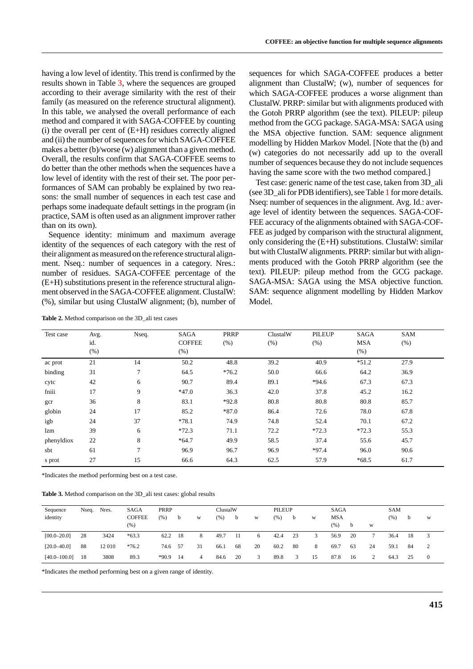having a low level of identity. This trend is confirmed by the results shown in Table 3, where the sequences are grouped according to their average similarity with the rest of their family (as measured on the reference structural alignment). In this table, we analysed the overall performance of each method and compared it with SAGA-COFFEE by counting (i) the overall per cent of (E+H) residues correctly aligned and (ii) the number of sequences for which SAGA-COFFEE makes a better (b)/worse (w) alignment than a given method. Overall, the results confirm that SAGA-COFFEE seems to do better than the other methods when the sequences have a low level of identity with the rest of their set. The poor performances of SAM can probably be explained by two reasons: the small number of sequences in each test case and perhaps some inadequate default settings in the program (in practice, SAM is often used as an alignment improver rather than on its own).

Sequence identity: minimum and maximum average identity of the sequences of each category with the rest of their alignment as measured on the reference structural alignment. Nseq.: number of sequences in a category. Nres.: number of residues. SAGA-COFFEE percentage of the (E+H) substitutions present in the reference structural alignment observed in the SAGA-COFFEE alignment. ClustalW: (%), similar but using ClustalW alignment; (b), number of sequences for which SAGA-COFFEE produces a better alignment than ClustalW; (w), number of sequences for which SAGA-COFFEE produces a worse alignment than ClustalW. PRRP: similar but with alignments produced with the Gotoh PRRP algorithm (see the text). PILEUP: pileup method from the GCG package. SAGA-MSA: SAGA using the MSA objective function. SAM: sequence alignment modelling by Hidden Markov Model. [Note that the (b) and (w) categories do not necessarily add up to the overall number of sequences because they do not include sequences having the same score with the two method compared.]

Test case: generic name of the test case, taken from 3D\_ali (see 3D\_ali for PDB identifiers), see Table 1 for more details. Nseq: number of sequences in the alignment. Avg. Id.: average level of identity between the sequences. SAGA-COF-FEE accuracy of the alignments obtained with SAGA-COF-FEE as judged by comparison with the structural alignment, only considering the (E+H) substitutions. ClustalW: similar but with ClustalW alignments. PRRP: similar but with alignments produced with the Gotoh PRRP algorithm (see the text). PILEUP: pileup method from the GCG package. SAGA-MSA: SAGA using the MSA objective function. SAM: sequence alignment modelling by Hidden Markov Model.

**Table 2.** Method comparison on the 3D\_ali test cases

| Test case  | Avg.           | Nseq.         | SAGA                    | PRRP    | ClustalW | PILEUP  | <b>SAGA</b>          | SAM  |
|------------|----------------|---------------|-------------------------|---------|----------|---------|----------------------|------|
|            | id.<br>$(\% )$ |               | <b>COFFEE</b><br>$(\%)$ | (% )    | (% )     | (% )    | <b>MSA</b><br>$(\%)$ | (% ) |
| ac prot    | 21             | 14            | 50.2                    | 48.8    | 39.2     | 40.9    | $*51.2$              | 27.9 |
| binding    | 31             | $\tau$        | 64.5                    | $*76.2$ | 50.0     | 66.6    | 64.2                 | 36.9 |
| cytc       | 42             | 6             | 90.7                    | 89.4    | 89.1     | $*94.6$ | 67.3                 | 67.3 |
| fniii      | 17             | 9             | $*47.0$                 | 36.3    | 42.0     | 37.8    | 45.2                 | 16.2 |
| gcr        | 36             | 8             | 83.1                    | $*92.8$ | 80.8     | 80.8    | 80.8                 | 85.7 |
| globin     | 24             | 17            | 85.2                    | $*87.0$ | 86.4     | 72.6    | 78.0                 | 67.8 |
| igb        | 24             | 37            | $*78.1$                 | 74.9    | 74.8     | 52.4    | 70.1                 | 67.2 |
| lzm        | 39             | 6             | $*72.3$                 | 71.1    | 72.2     | $*72.3$ | $*72.3$              | 55.3 |
| phenyldiox | 22             | 8             | $*64.7$                 | 49.9    | 58.5     | 37.4    | 55.6                 | 45.7 |
| sbt        | 61             | $\mathcal{I}$ | 96.9                    | 96.7    | 96.9     | $*97.4$ | 96.0                 | 90.6 |
| s prot     | 27             | 15            | 66.6                    | 64.3    | 62.5     | 57.9    | $*68.5$              | 61.7 |

\*Indicates the method performing best on a test case.

**Table 3.** Method comparison on the 3D\_ali test cases: global results

| Sequence<br>identity | Nseq. | Nres.  | <b>SAGA</b><br><b>COFFEE</b> | PRRP<br>(% ) | b    | W  | ClustalW<br>$(\% )$ | b   | W  | <b>PILEUP</b><br>(%) | b  | W  | <b>SAGA</b><br><b>MSA</b> |    |    | <b>SAM</b><br>(%) | b  | W        |
|----------------------|-------|--------|------------------------------|--------------|------|----|---------------------|-----|----|----------------------|----|----|---------------------------|----|----|-------------------|----|----------|
|                      |       |        | (% )                         |              |      |    |                     |     |    |                      |    |    | (% )                      | b  | W  |                   |    |          |
| $[00.0 - 20.0]$      | 28    | 3424   | $*63.3$                      | 62.2         | - 18 | 8  | 49.7                | -11 | 6  | 42.4                 | 23 |    | 56.9                      | 20 |    | 36.4              | 18 |          |
| $[20.0 - 40.0]$      | 88    | 12 010 | $*76.2$                      | 74.6         | 57   | 31 | 66.1                | -68 | 20 | 60.2                 | 80 | 8  | 69.7                      | 63 | 24 | 59.1              | 84 |          |
| $[40.0 - 100.0]$     | -18   | 3808   | 89.3                         | $*90.9$      | -14  | 4  | 84.6                | 20  | 3  | 89.8                 | 3  | 15 | 87.8                      | 16 |    | 64.3              | 25 | $\bf{0}$ |

\*Indicates the method performing best on a given range of identity.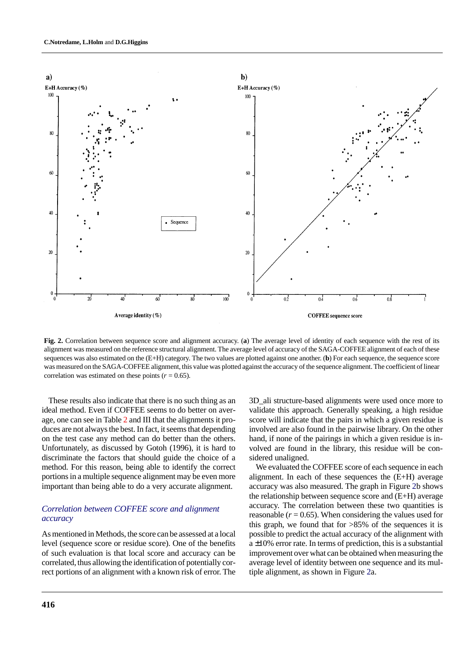

**Fig. 2.** Correlation between sequence score and alignment accuracy. (**a**) The average level of identity of each sequence with the rest of its alignment was measured on the reference structural alignment. The average level of accuracy of the SAGA-COFFEE alignment of each of these sequences was also estimated on the (E+H) category. The two values are plotted against one another. (**b**) For each sequence, the sequence score was measured on the SAGA-COFFEE alignment, this value was plotted against the accuracy of the sequence alignment. The coefficient of linear correlation was estimated on these points  $(r = 0.65)$ .

These results also indicate that there is no such thing as an ideal method. Even if COFFEE seems to do better on average, one can see in Table 2 and III that the alignments it produces are not always the best. In fact, it seems that depending on the test case any method can do better than the others. Unfortunately, as discussed by Gotoh (1996), it is hard to discriminate the factors that should guide the choice of a method. For this reason, being able to identify the correct portions in a multiple sequence alignment may be even more important than being able to do a very accurate alignment.

# *Correlation between COFFEE score and alignment accuracy*

As mentioned in Methods, the score can be assessed at a local level (sequence score or residue score). One of the benefits of such evaluation is that local score and accuracy can be correlated, thus allowing the identification of potentially correct portions of an alignment with a known risk of error. The

3D\_ali structure-based alignments were used once more to validate this approach. Generally speaking, a high residue score will indicate that the pairs in which a given residue is involved are also found in the pairwise library. On the other hand, if none of the pairings in which a given residue is involved are found in the library, this residue will be considered unaligned.

We evaluated the COFFEE score of each sequence in each alignment. In each of these sequences the (E+H) average accuracy was also measured. The graph in Figure 2b shows the relationship between sequence score and (E+H) average accuracy. The correlation between these two quantities is reasonable  $(r = 0.65)$ . When considering the values used for this graph, we found that for >85% of the sequences it is possible to predict the actual accuracy of the alignment with  $a \pm 10$ % error rate. In terms of prediction, this is a substantial improvement over what can be obtained when measuring the average level of identity between one sequence and its multiple alignment, as shown in Figure 2a.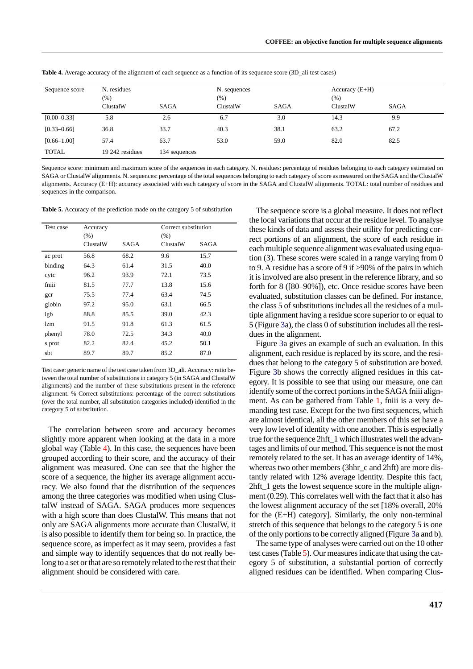| Sequence score  | N. residues     |               | N. sequences |      | Accuracy $(E+H)$ |      |  |  |  |
|-----------------|-----------------|---------------|--------------|------|------------------|------|--|--|--|
|                 | $(\%)$          |               | $(\%)$       |      | (% )             |      |  |  |  |
|                 | ClustalW        | SAGA          | ClustalW     | SAGA | ClustalW         | SAGA |  |  |  |
| $[0.00 - 0.33]$ | 5.8             | 2.6           | 6.7          | 3.0  | 14.3             | 9.9  |  |  |  |
| $[0.33 - 0.66]$ | 36.8            | 33.7          | 40.3         | 38.1 | 63.2             | 67.2 |  |  |  |
| $[0.66 - 1.00]$ | 57.4            | 63.7          | 53.0         | 59.0 | 82.0             | 82.5 |  |  |  |
| <b>TOTAL</b>    | 19 242 residues | 134 sequences |              |      |                  |      |  |  |  |

**Table 4.** Average accuracy of the alignment of each sequence as a function of its sequence score (3D\_ali test cases)

Sequence score: minimum and maximum score of the sequences in each category. N. residues: percentage of residues belonging to each category estimated on SAGA or ClustalW alignments. N. sequences: percentage of the total sequences belonging to each category of score as measured on the SAGA and the ClustalW alignments. Accuracy (E+H): accuracy associated with each category of score in the SAGA and ClustalW alignments. TOTAL: total number of residues and sequences in the comparison.

**Table 5.** Accuracy of the prediction made on the category 5 of substitution

| Test case | Accuracy         |      | Correct substitution |      |  |  |  |
|-----------|------------------|------|----------------------|------|--|--|--|
|           | (% )<br>ClustalW | SAGA | (% )<br>ClustalW     | SAGA |  |  |  |
| ac prot   | 56.8             | 68.2 | 9.6                  | 15.7 |  |  |  |
| binding   | 64.3             | 61.4 | 31.5                 | 40.0 |  |  |  |
| cytc      | 96.2             | 93.9 | 72.1                 | 73.5 |  |  |  |
| fniii     | 81.5             | 77.7 | 13.8                 | 15.6 |  |  |  |
| gcr       | 75.5             | 77.4 | 63.4                 | 74.5 |  |  |  |
| globin    | 97.2             | 95.0 | 63.1                 | 66.5 |  |  |  |
| igb       | 88.8             | 85.5 | 39.0                 | 42.3 |  |  |  |
| 1zm       | 91.5             | 91.8 | 61.3                 | 61.5 |  |  |  |
| phenyl    | 78.0             | 72.5 | 34.3                 | 40.0 |  |  |  |
| s prot    | 82.2             | 82.4 | 45.2                 | 50.1 |  |  |  |
| sbt       | 89.7             | 89.7 | 85.2                 | 87.0 |  |  |  |

Test case: generic name of the test case taken from 3D\_ali. Accuracy: ratio between the total number of substitutions in category 5 (in SAGA and ClustalW alignments) and the number of these substitutions present in the reference alignment. % Correct substitutions: percentage of the correct substitutions (over the total number, all substitution categories included) identified in the category 5 of substitution.

The correlation between score and accuracy becomes slightly more apparent when looking at the data in a more global way (Table 4). In this case, the sequences have been grouped according to their score, and the accuracy of their alignment was measured. One can see that the higher the score of a sequence, the higher its average alignment accuracy. We also found that the distribution of the sequences among the three categories was modified when using ClustalW instead of SAGA. SAGA produces more sequences with a high score than does ClustalW. This means that not only are SAGA alignments more accurate than ClustalW, it is also possible to identify them for being so. In practice, the sequence score, as imperfect as it may seem, provides a fast and simple way to identify sequences that do not really belong to a set or that are so remotely related to the rest that their alignment should be considered with care.

The sequence score is a global measure. It does not reflect the local variations that occur at the residue level. To analyse these kinds of data and assess their utility for predicting correct portions of an alignment, the score of each residue in each multiple sequence alignment was evaluated using equation (3). These scores were scaled in a range varying from 0 to 9. A residue has a score of 9 if >90% of the pairs in which it is involved are also present in the reference library, and so forth for 8 ([80–90%]), etc. Once residue scores have been evaluated, substitution classes can be defined. For instance, the class 5 of substitutions includes all the residues of a multiple alignment having a residue score superior to or equal to 5 (Figure 3a), the class 0 of substitution includes all the residues in the alignment.

Figure 3a gives an example of such an evaluation. In this alignment, each residue is replaced by its score, and the residues that belong to the category 5 of substitution are boxed. Figure 3b shows the correctly aligned residues in this category. It is possible to see that using our measure, one can identify some of the correct portions in the SAGA fniii alignment. As can be gathered from Table 1, fiiii is a very demanding test case. Except for the two first sequences, which are almost identical, all the other members of this set have a very low level of identity with one another. This is especially true for the sequence 2hft\_1 which illustrates well the advantages and limits of our method. This sequence is not the most remotely related to the set. It has an average identity of 14%, whereas two other members (3hhr\_c and 2hft) are more distantly related with 12% average identity. Despite this fact, 2hft\_1 gets the lowest sequence score in the multiple alignment (0.29). This correlates well with the fact that it also has the lowest alignment accuracy of the set [18% overall, 20% for the (E+H) category]. Similarly, the only non-terminal stretch of this sequence that belongs to the category 5 is one of the only portions to be correctly aligned (Figure 3a and b).

The same type of analyses were carried out on the 10 other test cases (Table 5). Our measures indicate that using the category 5 of substitution, a substantial portion of correctly aligned residues can be identified. When comparing Clus-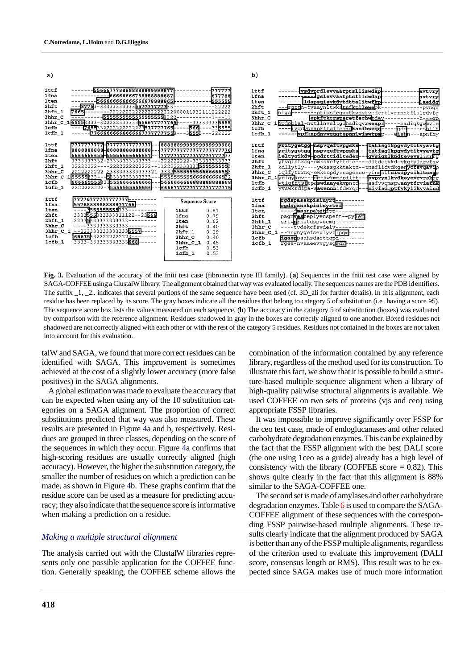

**Fig. 3.** Evaluation of the accuracy of the fniii test case (fibronectin type III family). (**a**) Sequences in the fniii test case were aligned by SAGA-COFFEE using a ClustalW library. The alignment obtained that way was evaluated locally. The sequences names are the PDB identifiers. The suffix \_1, \_2.. indicates that several portions of the same sequence have been used (cf. 3D\_ali for further details). In this alignment, each residue has been replaced by its score. The gray boxes indicate all the residues that belong to category 5 of substitution (i.e. having a score ≥5). The sequence score box lists the values measured on each sequence. (**b**) The accuracy in the category 5 of substitution (boxes) was evaluated by comparison with the reference alignment. Residues shadowed in gray in the boxes are correctly aligned to one another. Boxed residues not shadowed are not correctly aligned with each other or with the rest of the category 5 residues. Residues not contained in the boxes are not taken into account for this evaluation.

talW and SAGA, we found that more correct residues can be identified with SAGA. This improvement is sometimes achieved at the cost of a slightly lower accuracy (more false positives) in the SAGA alignments.

A global estimation was made to evaluate the accuracy that can be expected when using any of the 10 substitution categories on a SAGA alignment. The proportion of correct substitutions predicted that way was also measured. These results are presented in Figure 4a and b, respectively. Residues are grouped in three classes, depending on the score of the sequences in which they occur. Figure 4a confirms that high-scoring residues are usually correctly aligned (high accuracy). However, the higher the substitution category, the smaller the number of residues on which a prediction can be made, as shown in Figure 4b. These graphs confirm that the residue score can be used as a measure for predicting accuracy; they also indicate that the sequence score is informative when making a prediction on a residue.

# *Making a multiple structural alignment*

The analysis carried out with the ClustalW libraries represents only one possible application for the COFFEE function. Generally speaking, the COFFEE scheme allows the combination of the information contained by any reference library, regardless of the method used for its construction. To illustrate this fact, we show that it is possible to build a structure-based multiple sequence alignment when a library of high-quality pairwise structural alignments is available. We used COFFEE on two sets of proteins (vjs and ceo) using appropriate FSSP libraries.

It was impossible to improve significantly over FSSP for the ceo test case, made of endoglucanases and other related carbohydrate degradation enzymes. This can be explained by the fact that the FSSP alignment with the best DALI score (the one using 1ceo as a guide) already has a high level of consistency with the library (COFFEE score  $= 0.82$ ). This shows quite clearly in the fact that this alignment is 88% similar to the SAGA-COFFEE one.

The second set is made of amylases and other carbohydrate degradation enzymes. Table  $6$  is used to compare the SAGA-COFFEE alignment of these sequences with the corresponding FSSP pairwise-based multiple alignments. These results clearly indicate that the alignment produced by SAGA is better than any of the FSSP multiple alignments, regardless of the criterion used to evaluate this improvement (DALI score, consensus length or RMS). This result was to be expected since SAGA makes use of much more information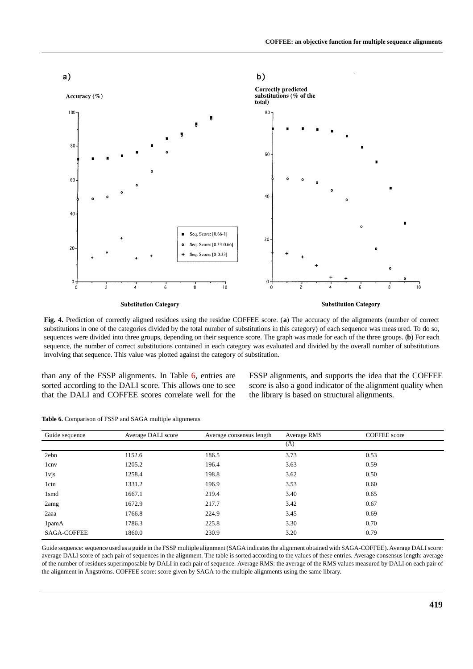

**Fig. 4.** Prediction of correctly aligned residues using the residue COFFEE score. (**a**) The accuracy of the alignments (number of correct substitutions in one of the categories divided by the total number of substitutions in this category) of each sequence was meas ured. To do so, sequences were divided into three groups, depending on their sequence score. The graph was made for each of the three groups. (**b**) For each sequence, the number of correct substitutions contained in each category was evaluated and divided by the overall number of substitutions involving that sequence. This value was plotted against the category of substitution.

than any of the FSSP alignments. In Table 6, entries are sorted according to the DALI score. This allows one to see that the DALI and COFFEE scores correlate well for the

FSSP alignments, and supports the idea that the COFFEE score is also a good indicator of the alignment quality when the library is based on structural alignments.

| Guide sequence     | Average DALI score | Average consensus length | Average RMS | <b>COFFEE</b> score |
|--------------------|--------------------|--------------------------|-------------|---------------------|
|                    |                    |                          | (A)         |                     |
| 2ebn               | 1152.6             | 186.5                    | 3.73        | 0.53                |
| 1 <sub>cnv</sub>   | 1205.2             | 196.4                    | 3.63        | 0.59                |
| 1vjs               | 1258.4             | 198.8                    | 3.62        | 0.50                |
| 1 <sub>ctn</sub>   | 1331.2             | 196.9                    | 3.53        | 0.60                |
| 1smd               | 1667.1             | 219.4                    | 3.40        | 0.65                |
| 2amg               | 1672.9             | 217.7                    | 3.42        | 0.67                |
| 2aaa               | 1766.8             | 224.9                    | 3.45        | 0.69                |
| 1pamA              | 1786.3             | 225.8                    | 3.30        | 0.70                |
| <b>SAGA-COFFEE</b> | 1860.0             | 230.9                    | 3.20        | 0.79                |

**Table 6.** Comparison of FSSP and SAGA multiple alignments

Guide sequence: sequence used as a guide in the FSSP multiple alignment (SAGA indicates the alignment obtained with SAGA-COFFEE). Average DALI score: average DALI score of each pair of sequences in the alignment. The table is sorted according to the values of these entries. Average consensus length: average of the number of residues superimposable by DALI in each pair of sequence. Average RMS: the average of the RMS values measured by DALI on each pair of the alignment in Ångströms. COFFEE score: score given by SAGA to the multiple alignments using the same library.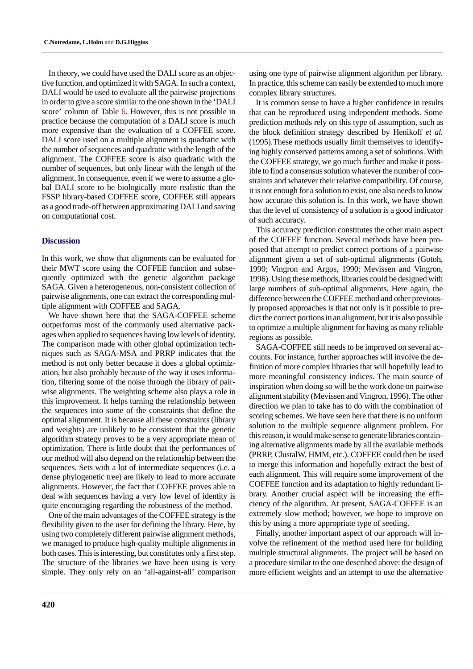In theory, we could have used the DALI score as an objective function, and optimized it with SAGA. In such a context, DALI would be used to evaluate all the pairwise projections in order to give a score similar to the one shown in the 'DALI score' column of Table 6. However, this is not possible in practice because the computation of a DALI score is much more expensive than the evaluation of a COFFEE score. DALI score used on a multiple alignment is quadratic with the number of sequences and quadratic with the length of the alignment. The COFFEE score is also quadratic with the number of sequences, but only linear with the length of the alignment. In consequence, even if we were to assume a global DALI score to be biologically more realistic than the FSSP library-based COFFEE score, COFFEE still appears as a good trade-off between approximating DALI and saving on computational cost.

## **Discussion**

In this work, we show that alignments can be evaluated for their MWT score using the COFFEE function and subsequently optimized with the genetic algorithm package SAGA. Given a heterogeneous, non-consistent collection of pairwise alignments, one can extract the corresponding multiple alignment with COFFEE and SAGA.

We have shown here that the SAGA-COFFEE scheme outperforms most of the commonly used alternative packages when applied to sequences having low levels of identity. The comparison made with other global optimization techniques such as SAGA-MSA and PRRP indicates that the method is not only better because it does a global optimization, but also probably because of the way it uses information, filtering some of the noise through the library of pairwise alignments. The weighting scheme also plays a role in this improvement. It helps turning the relationship between the sequences into some of the constraints that define the optimal alignment. It is because all these constraints (library and weights) are unlikely to be consistent that the genetic algorithm strategy proves to be a very appropriate mean of optimization. There is little doubt that the performances of our method will also depend on the relationship between the sequences. Sets with a lot of intermediate sequences (i.e. a dense phylogenetic tree) are likely to lead to more accurate alignments. However, the fact that COFFEE proves able to deal with sequences having a very low level of identity is quite encouraging regarding the robustness of the method.

One of the main advantages of the COFFEE strategy is the flexibility given to the user for defining the library. Here, by using two completely different pairwise alignment methods, we managed to produce high-quality multiple alignments in both cases. This is interesting, but constitutes only a first step. The structure of the libraries we have been using is very simple. They only rely on an 'all-against-all' comparison using one type of pairwise alignment algorithm per library. In practice, this scheme can easily be extended to much more complex library structures.

It is common sense to have a higher confidence in results that can be reproduced using independent methods. Some prediction methods rely on this type of assumption, such as the block definition strategy described by Henikoff *et al.* (1995).These methods usually limit themselves to identifying highly conserved patterns among a set of solutions. With the COFFEE strategy, we go much further and make it possible to find a consensus solution whatever the number of constraints and whatever their relative compatibility. Of course, it is not enough for a solution to exist, one also needs to know how accurate this solution is. In this work, we have shown that the level of consistency of a solution is a good indicator of such accuracy.

This accuracy prediction constitutes the other main aspect of the COFFEE function. Several methods have been proposed that attempt to predict correct portions of a pairwise alignment given a set of sub-optimal alignments (Gotoh, 1990; Vingron and Argos, 1990; Mevissen and Vingron, 1996). Using these methods, libraries could be designed with large numbers of sub-optimal alignments. Here again, the difference between the COFFEE method and other previously proposed approaches is that not only is it possible to predict the correct portions in an alignment, but it is also possible to optimize a multiple alignment for having as many reliable regions as possible.

SAGA-COFFEE still needs to be improved on several accounts. For instance, further approaches will involve the definition of more complex libraries that will hopefully lead to more meaningful consistency indices. The main source of inspiration when doing so will be the work done on pairwise alignment stability (Mevissen and Vingron, 1996). The other direction we plan to take has to do with the combination of scoring schemes. We have seen here that there is no uniform solution to the multiple sequence alignment problem. For this reason, it would make sense to generate libraries containing alternative alignments made by all the available methods (PRRP, ClustalW, HMM, etc.). COFFEE could then be used to merge this information and hopefully extract the best of each alignment. This will require some improvement of the COFFEE function and its adaptation to highly redundant library. Another crucial aspect will be increasing the efficiency of the algorithm. At present, SAGA-COFFEE is an extremely slow method; however, we hope to improve on this by using a more appropriate type of seeding.

Finally, another important aspect of our approach will involve the refinement of the method used here for building multiple structural alignments. The project will be based on a procedure similar to the one described above: the design of more efficient weights and an attempt to use the alternative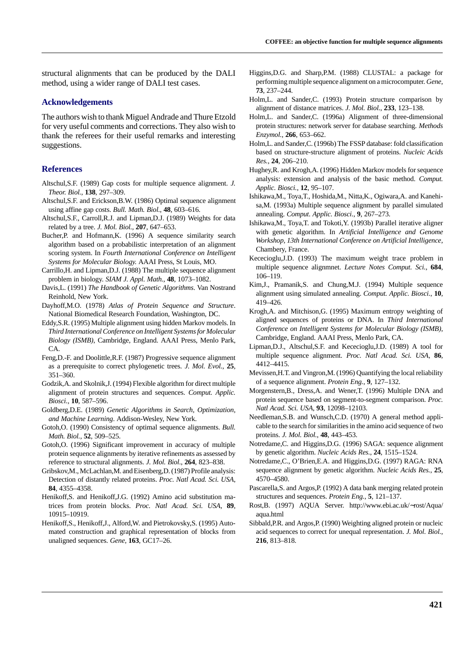structural alignments that can be produced by the DALI method, using a wider range of DALI test cases.

#### **Acknowledgements**

The authors wish to thank Miguel Andrade and Thure Etzold for very useful comments and corrections. They also wish to thank the referees for their useful remarks and interesting suggestions.

# **References**

- Altschul,S.F. (1989) Gap costs for multiple sequence alignment. *J. Theor. Biol.*, **138**, 297–309.
- Altschul,S.F. and Erickson,B.W. (1986) Optimal sequence alignment using affine gap costs. *Bull. Math. Biol.*, **48**, 603–616.
- Altschul,S.F., Carroll,R.J. and Lipman,D.J. (1989) Weights for data related by a tree. *J. Mol. Biol.*, **207**, 647–653.
- Bucher,P. and Hofmann,K. (1996) A sequence similarity search algorithm based on a probabilistic interpretation of an alignment scoring system. In *Fourth International Conference on Intelligent Systems for Molecular Biology.* AAAI Press, St Louis, MO.
- Carrillo,H. and Lipman,D.J. (1988) The multiple sequence alignment problem in biology. *SIAM J. Appl. Math.*, **48**, 1073–1082.
- Davis,L. (1991) *The Handbook of Genetic Algorithms*. Van Nostrand Reinhold, New York.
- Dayhoff,M.O. (1978) *Atlas of Protein Sequence and Structure*. National Biomedical Research Foundation, Washington, DC.
- Eddy,S.R. (1995) Multiple alignment using hidden Markov models. In *Third International Conference on Intelligent Systems for Molecular Biology (ISMB)*, Cambridge, England. AAAI Press, Menlo Park, CA.
- Feng,D.-F. and Doolittle,R.F. (1987) Progressive sequence alignment as a prerequisite to correct phylogenetic trees. *J. Mol. Evol.*, **25**, 351–360.
- Godzik,A. and Skolnik,J. (1994) Flexible algorithm for direct multiple alignment of protein structures and sequences. *Comput. Applic. Biosci.*, **10**, 587–596.
- Goldberg,D.E. (1989) *Genetic Algorithms in Search, Optimization, and Machine Learning*. Addison-Wesley, New York.
- Gotoh,O. (1990) Consistency of optimal sequence alignments. *Bull. Math. Biol.*, **52**, 509–525.
- Gotoh,O. (1996) Significant improvement in accuracy of multiple protein sequence alignments by iterative refinements as assessed by reference to structural alignments. *J. Mol. Biol.*, **264**, 823–838.
- Gribskov,M., McLachlan,M. and Eisenberg,D. (1987) Profile analysis: Detection of distantly related proteins. *Proc. Natl Acad. Sci. USA*, **84**, 4355–4358.
- Henikoff,S. and Henikoff,J.G. (1992) Amino acid substitution matrices from protein blocks. *Proc. Natl Acad. Sci. USA*, **89**, 10915–10919.
- Henikoff,S., Henikoff,J., Alford,W. and Pietrokovsky,S. (1995) Automated construction and graphical representation of blocks from unaligned sequences. *Gene*, **163**, GC17–26.
- Higgins,D.G. and Sharp,P.M. (1988) CLUSTAL: a package for performing multiple sequence alignment on a microcomputer. *Gene*, **73**, 237–244.
- Holm,L. and Sander,C. (1993) Protein structure comparison by alignment of distance matrices. *J. Mol. Biol.*, **233**, 123–138.
- Holm,L. and Sander,C. (1996a) Alignment of three-dimensional protein structures: network server for database searching. *Methods Enzymol.*, **266**, 653–662.
- Holm,L. and Sander,C. (1996b) The FSSP database: fold classification based on structure-structure alignment of proteins. *Nucleic Acids Res.*, **24**, 206–210.
- Hughey,R. and Krogh,A. (1996) Hidden Markov models for sequence analysis: extension and analysis of the basic method. *Comput. Applic. Biosci.*, **12**, 95–107.
- Ishikawa,M., Toya,T., Hoshida,M., Nitta,K., Ogiwara,A. and Kanehisa,M. (1993a) Multiple sequence alignment by parallel simulated annealing. *Comput. Applic. Biosci.*, **9**, 267–273.
- Ishikawa,M., Toya,T. and Tokoti,Y. (1993b) Parallel iterative aligner with genetic algorithm. In *Artificial Intelligence and Genome Workshop, 13th International Conference on Artificial Intelligence*, Chambery, France.
- Kececioglu,J.D. (1993) The maximum weight trace problem in multiple sequence alignmnet. *Lecture Notes Comput. Sci.*, **684**, 106–119.
- Kim,J., Pramanik,S. and Chung,M.J. (1994) Multiple sequence alignment using simulated annealing. *Comput. Applic. Biosci.*, **10**, 419–426.
- Krogh,A. and Mitchison,G. (1995) Maximum entropy weighting of aligned sequences of proteins or DNA. In *Third International Conference on Intelligent Systems for Molecular Biology (ISMB)*, Cambridge, England. AAAI Press, Menlo Park, CA.
- Lipman,D.J., Altschul,S.F. and Kececioglu,J.D. (1989) A tool for multiple sequence alignment. *Proc. Natl Acad. Sci. USA*, **86**, 4412–4415.
- Mevissen,H.T. and Vingron,M. (1996) Quantifying the local reliability of a sequence alignment. *Protein Eng.*, **9**, 127–132.
- Morgenstern,B., Dress,A. and Wener,T. (1996) Multiple DNA and protein sequence based on segment-to-segment comparison. *Proc. Natl Acad. Sci. USA*, **93**, 12098–12103.
- Needleman,S.B. and Wunsch,C.D. (1970) A general method applicable to the search for similarities in the amino acid sequence of two proteins. *J. Mol. Biol.*, **48**, 443–453.
- Notredame,C. and Higgins,D.G. (1996) SAGA: sequence alignment by genetic algorithm. *Nucleic Acids Res.*, **24**, 1515–1524.
- Notredame,C., O'Brien,E.A. and Higgins,D.G. (1997) RAGA: RNA sequence alignment by genetic algorithm. *Nucleic Acids Res.*, **25**, 4570–4580.
- Pascarella,S. and Argos,P. (1992) A data bank merging related protein structures and sequences. *Protein Eng.*, **5**, 121–137.
- Rost,B. (1997) AQUA Server. http://www.ebi.ac.uk/∼rost/Aqua/ aqua.html
- Sibbald,P.R. and Argos,P. (1990) Weighting aligned protein or nucleic acid sequences to correct for unequal representation. *J. Mol. Biol.*, **216**, 813–818.